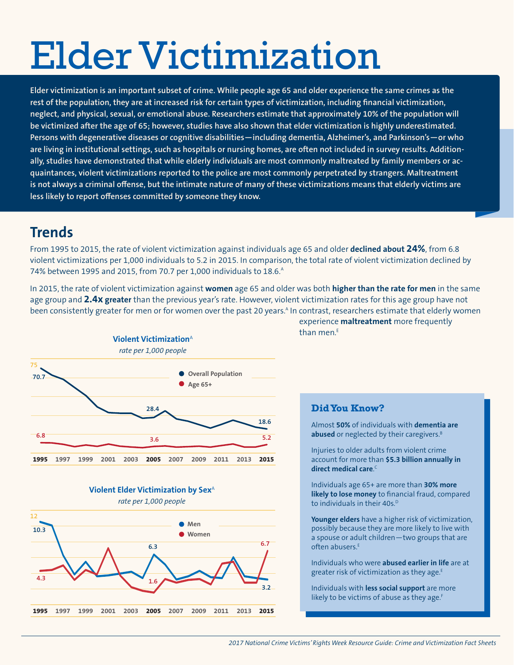# Elder Victimization

**Elder victimization is an important subset of crime. While people age 65 and older experience the same crimes as the rest of the population, they are at increased risk for certain types of victimization, including financial victimization, neglect, and physical, sexual, or emotional abuse. Researchers estimate that approximately 10% of the population will be victimized after the age of 65; however, studies have also shown that elder victimization is highly underestimated. Persons with degenerative diseases or cognitive disabilities—including dementia, Alzheimer's, and Parkinson's—or who are living in institutional settings, such as hospitals or nursing homes, are often not included in survey results. Additionally, studies have demonstrated that while elderly individuals are most commonly maltreated by family members or acquaintances, violent victimizations reported to the police are most commonly perpetrated by strangers. Maltreatment is not always a criminal offense, but the intimate nature of many of these victimizations means that elderly victims are less likely to report offenses committed by someone they know.**

## **Trends**

From 1995 to 2015, the rate of violent victimization against individuals age 65 and older **declined about 24%**, from 6.8 violent victimizations per 1,000 individuals to 5.2 in 2015. In comparison, the total rate of violent victimization declined by 74% between 1995 and 2015, from 70.7 per 1,000 individuals to 18.6.<sup>A</sup>

In 2015, the rate of violent victimization against **women** age 65 and older was both **higher than the rate for men** in the same age group and **2.4x greater** than the previous year's rate. However, violent victimization rates for this age group have not been consistently greater for men or for women over the past 20 years.A In contrast, researchers estimate that elderly women







Men Women

experience **maltreatment** more frequently than men. $E$ 

### **Did You Know?**

Almost **50%** of individuals with **dementia are**  abused or neglected by their caregivers.<sup>B</sup>

Injuries to older adults from violent crime account for more than **\$5.3 billion annually in direct medical care**. C

[Individuals age 65+ are more than](https://www.saveandinvest.org/sites/default/files/Financial-Fraud-And-Fraud-Susceptibility-In-The-United-States.pdf#page=18) **30% more likely to lose money** [to financial fraud, compared](https://www.saveandinvest.org/sites/default/files/Financial-Fraud-And-Fraud-Susceptibility-In-The-United-States.pdf#page=18)  to individuals in their 40s.<sup>D</sup>

**Younger elders** [have a higher risk of victimization,](https://www.ncjrs.gov/pdffiles1/nij/grants/226456.pdf) [possibly because they are more likely to live with](https://www.ncjrs.gov/pdffiles1/nij/grants/226456.pdf)  [a spouse or adult children—two groups that are](https://www.ncjrs.gov/pdffiles1/nij/grants/226456.pdf)  [often abusers.E](https://www.ncjrs.gov/pdffiles1/nij/grants/226456.pdf)

[Individuals who were](https://www.ncjrs.gov/pdffiles1/nij/grants/226456.pdf) **abused earlier in life** are at greater risk of victimization as they age.<sup>E</sup>

Individuals with **less social support** are more likely to be victims of abuse as they age.<sup>F</sup>